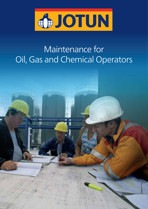

## Maintenance for Oil, Gas and Chemical Operators

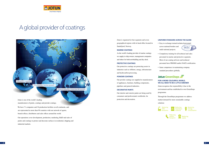

## A global provider of coatings

Offices in 71 countries

36 production facilities globally

Products available in more than 90 countries

Jotun is organised in four segments and seven geographical regions with its head office located in Sandefjord, Norway.

### **Marine coatings**

As the world's leading provider of marine coatings we supply to ship owners, management companies and others for both newbuilding and dry-dock.

### **Protective coatings**

Our protective coatings are protecting assets in industries such as offshore, energy, infrastructure and hydrocarbon processing.

### **Powder coatings**

Our powder coatings are supplied to manufacturers of appliances, furniture, building components, pipelines and general industries.

### **decorative Paints**

Our interior and exterior paints are being used by consumers and professionals worldwide, for protection and decoration.

## **For a More colourFul world, we all need to be a little greener**

- Jotun recognises the responsibility it has to the environment and has established its own GreenSteps programme.
- Through the GreenSteps programme we address market demand for more sustainable coatings
- solutions















### **uniForM standard across the globe**

• Easy to exchange trained technical personnel across national borders and Team No.1 multi-national projects.



- Compulsory training for all technical and sales personnel in marine and protective segments. Most of our coating advisors and technical personnel have FROSIO and/or NACE certification.
- Same competence in maintaining company standard procedures globally.

## Jotun GreenSteps

Jotun is one of the world's leading manufacturers of paints, coatings and powder coatings.

We have 71 companies and 36 production facilities on all continents, and are represented in more than 90 countries with our network of agents, branch offices, distributors and sales offices around the world.

Our operations cover development, production, marketing, R&D and sales of paints and coatings to protect and decorate surfaces in residential, shipping and industrial markets.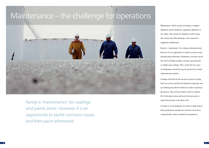Maintenance will be carried out during a complete shutdown, partial shutdown, equipment shutdown or live online. The reasons for shutdown will be many and varied, from filter blockage, valve renewal to equipment modification.

Rarely is 'maintenance' for coatings and paints alone. However it is an opportunity to tackle corrosion issues and then paint afterwards. Sometimes corrosion can be the result of failing coatings, incorrect specifications or simply aged coatings. They can be the root cause of maintenance needs but may be perceived as routine rather than preventative.

Coatings will often be the last process prior to going back into service and thus be blamed for delaying start up. Painting may then be reduced in order to speed up the process. This will most likely result in a shorter life of the paint system and lead to the necessity to repeat the job later in the plant's life.

At Jotun we work alongside our clients to help achieve better preparation and prevent corrosion issues from causing health, safety or financial consequences.

Rarely is 'maintenance' for coatings and paints alone. However it is an opportunity to tackle corrosion issues and then paint afterwards

# Maintenance – the challenge for operations

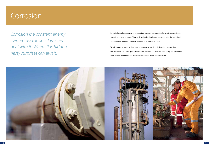

- 
- 
- 

In the industrial atmosphere of an operating plant we can expect to have extreme conditions when it comes to corrosion. There will be localised pollution – when it rains the pollution is dissolved into products that often accelerate the corrosion effect. We all know that water will manage to penetrate where it is designed not to, and thus corrosion will start. The speed at which corrosion occurs depends upon many factors but the truth is once started then the process has a domino effect and accelerates.

## Corrosion

Corrosion is a constant enemy – where we can see it we can deal with it. Where it is hidden nasty surprises can await!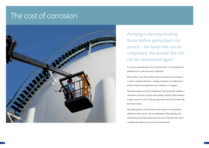## The cost of corrosion



Painting is the time limiting factor before going back into service – the faster this can be completed, the quicker the site can be operational again

It is easy to assume that the cost of corrosion is the cost of preparing and painting steel or, in the worst case, replacing it. However that is only the tip of the iceberg. In operations the challenge is to achieve maximum efficiency – keeping production at its highest level without losing time through unnecessary shutdowns or stoppages. Paint and coatings can be both a benefit and, when incorrectly managed, a major hassle. Incorrect or poorly used coatings can lead to filter blockages or allow corrosion to occur. This may add to time out of service that could have been avoided.

The painting process itself will often be the last part of a programmed shutdown as there can be a risk of contamination. Thus painting is the time limiting factor before going back into service. The faster this can be completed the quicker the site can be operational again.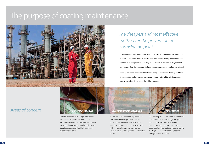

## The purpose of coating maintenance



## The cheapest and most effective method for the prevention of corrosion on plant

Coating maintenance is the cheapest and most effective method for the prevention of corrosion on plant. Because corrosion is often the cause of system failures, it is essential to halt its progress. If coating is undertaken in the form of programmed maintenance then the time expended and the consequences to the plant are reduced. Some operators are so aware of the huge penalty of production stoppage that they do not limit the budget for this maintenance work – after all the whole painting process costs less than a single day of lost earnings.

## Areas of concern



General steelwork such as pipe racks, tanks external and supports etc., may not be exposed to the most aggressive environments. However they are often complicated designs, trapping moisture, difficult to inspect and even harder to paint.



Corrosion under insulation together with corrosion under fire protection are the most serious areas of concern for a plant operator. Because they cannot be seen, the risk of incident grows but not necessarily awareness. Regular inspection and attention is vital.

Tank coatings are the life blood of a chemical operation and quality coatings and good maintenance are essential in order to maintain operational efficiency. It is also a good idea to utilise coatings that provide the most options to meet changing needs for storage – future proofing.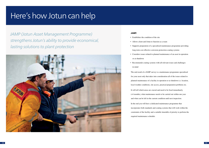## Here's how Jotun can help

## JAMP:

- Establishes the condition of the site
- Allows client and Jotun to function as a team
- Supports preparation of a specialised maintenance programme providing long term cost effective corrosion protection coating systems
- Considers issues related to planned maintenance of an asset in operation or at shutdown
- Recommends coating systems with all relevant issues and challenges in mind

The end result of a JAMP survey is a maintenance programme specialised for your asset only that takes into consideration all of the issues related to planned maintenance of a facility in operation or at shutdown i.e. location, local weather conditions, site access, practical preparation problems etc. It will tell which areas are crucial and need to be fixed immediately (<4 months), what maintenance needs to be carried out within one year and what can be left in the current condition until next inspection. In the end you will have a dedicated maintenance programme that incorporates both standards and coating systems that will work within the constraints of the facility and a suitable timetable of priority to perform the required maintenance schedule.

JAMP (Jotun Asset Management Programme) strengthens Jotun's ability to provide economical, lasting solutions to plant protection

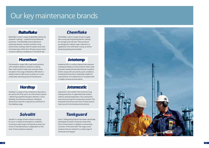Baltoflake is Jotun's range of glassflake reinforced polyester coatings – outperforming traditional protection. The Baltoflake brand represents extremely abrasion resistant and fast curing anticorrosive coatings, ideal for splash zones and immersed areas. More than 30 years proven track record on offshore installations in the North Sea.

## **Marathon**

## Our key maintenance brands

## **Baltoflake**

Chemflake is Jotun's range of easy to apply, fast curing and long lasting barrier coatings for storage tank internals. These products are designed to deliver major reductions in application time with faster curing, as well as being long lasting and versatile.

## **Jotatemp**

The Marathon range offers high build solutions with excellent abrasion resistance, making them well suited for high wear and tear areas. Included in the range is Marathon 500 which is ideally suited to tidal zones on jetties as it cures underwater allowing practical maintenance.

## **Hardtop**

Jotatemp 650 is a surface tolerant heat resistant coating providing a corrosion barrier when used to protect steelwork beneath thermal insulation (CUI) in areas with wet and dry cyclic conditions, including thermal shock. Especially suitable for maintenance of insulated and un-insulated steel in highly corrosive environments.

## **Jotamastic**

Hardtop is a range of two component topcoats to be used as the final coat in an anticorrosive system – delivering properties like gloss retention, colour flexibility and chemical resistance. Whatever demand you have for a topcoat you will find it in the Hardtop range.

## **Solvalitt**

Jotamastic is the market's first choice for long lasting protection on aged steel and surfaces without optimal preparation, thus saving time and money during the maintenance process. The Jotamastic brand has more than 25 years proven track record in the harshest environments.

## **Tankguard**

Solvalitt is a range of heat resistant coatings for use in a variety of atmospheric conditions. Covering a wide range of temperature areas, the choice of Solvalitt product is dependent on the level of heat resistance required.

## **Chemflake**

Jotun's Tankguard products have been specifically developed to protect chemicals inside tanks from contamination in addition to preventing corrosion of the tank itself. The range covers products that are resistant to a wide range of chemicals and cargoes.